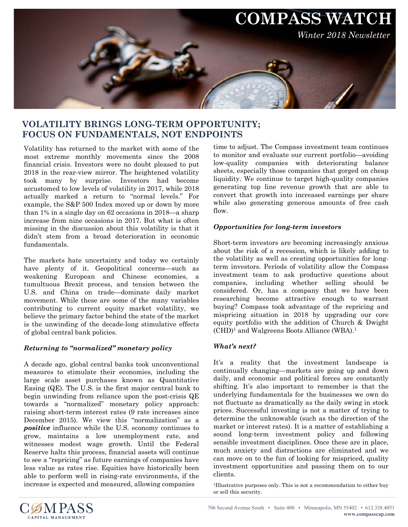

## **VOLATILITY BRINGS LONG-TERM OPPORTUNITY; FOCUS ON FUNDAMENTALS, NOT ENDPOINTS**

Volatility has returned to the market with some of the most extreme monthly movements since the 2008 financial crisis. Investors were no doubt pleased to put 2018 in the rear-view mirror. The heightened volatility took many by surprise. Investors had become accustomed to low levels of volatility in 2017, while 2018 actually marked a return to "normal levels." For example, the S&P 500 Index moved up or down by more than 1% in a single day on 62 occasions in 2018—a sharp increase from nine occasions in 2017. But what is often missing in the discussion about this volatility is that it didn't stem from a broad deterioration in economic fundamentals.

The markets hate uncertainty and today we certainly have plenty of it. Geopolitical concerns—such as weakening European and Chinese economies, a tumultuous Brexit process, and tension between the U.S. and China on trade—dominate daily market movement. While these are some of the many variables contributing to current equity market volatility, we believe the primary factor behind the state of the market is the unwinding of the decade-long stimulative effects of global central bank policies.

## *Returning to "normalized" monetary policy*

A decade ago, global central banks took unconventional measures to stimulate their economies, including the large scale asset purchases known as Quantitative Easing (QE). The U.S. is the first major central bank to begin unwinding from reliance upon the post-crisis QE towards a "normalized" monetary policy approach: raising short-term interest rates (9 rate increases since December 2015). We view this "normalization" as a *positive* influence while the U.S. economy continues to grow, maintains a low unemployment rate, and witnesses modest wage growth. Until the Federal Reserve halts this process, financial assets will continue to see a "repricing" as future earnings of companies have less value as rates rise. Equities have historically been able to perform well in rising-rate environments, if the increase is expected and measured, allowing companies

time to adjust. The Compass investment team continues to monitor and evaluate our current portfolio—avoiding low-quality companies with deteriorating balance sheets, especially those companies that gorged on cheap liquidity. We continue to target high-quality companies generating top line revenue growth that are able to convert that growth into increased earnings per share while also generating generous amounts of free cash flow.

## *Opportunities for long-term investors*

Short-term investors are becoming increasingly anxious about the risk of a recession, which is likely adding to the volatility as well as creating opportunities for longterm investors. Periods of volatility allow the Compass investment team to ask productive questions about companies, including whether selling should be considered. Or, has a company that we have been researching become attractive enough to warrant buying? Compass took advantage of the repricing and mispricing situation in 2018 by upgrading our core equity portfolio with the addition of Church & Dwight  $(CHD)<sup>1</sup>$  and Walgreens Boots Alliance (WBA).<sup>1</sup>

## *What's next?*

It's a reality that the investment landscape is continually changing—markets are going up and down daily, and economic and political forces are constantly shifting. It's also important to remember is that the underlying fundamentals for the businesses we own do not fluctuate as dramatically as the daily swing in stock prices. Successful investing is not a matter of trying to determine the unknowable (such as the direction of the market or interest rates). It is a matter of establishing a sound long-term investment policy and following sensible investment disciplines. Once these are in place, much anxiety and distractions are eliminated and we can move on to the fun of looking for mispriced, quality investment opportunities and passing them on to our clients.

1Illustrative purposes only. This is not a recommendation to either buy or sell this security.